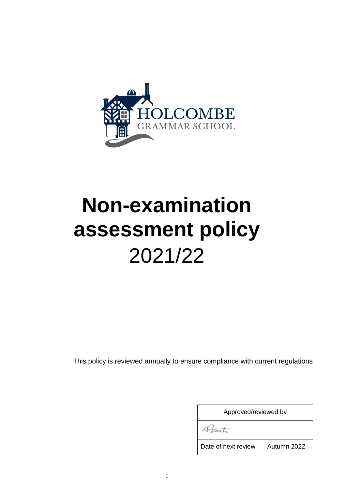

# **Non-examination assessment policy** 2021/22

<span id="page-0-0"></span>This policy is reviewed annually to ensure compliance with current regulations

| Approved/reviewed by |             |  |
|----------------------|-------------|--|
|                      |             |  |
| Date of next review  | Autumn 2022 |  |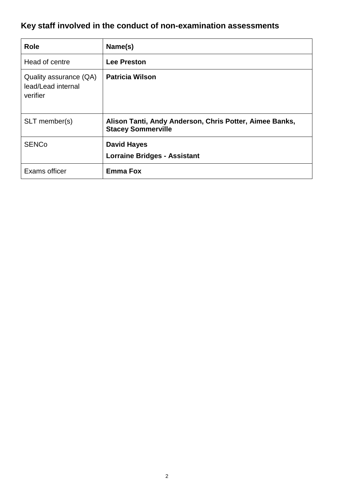# **Key staff involved in the conduct of non-examination assessments**

| <b>Role</b>                                              | Name(s)                                                                              |
|----------------------------------------------------------|--------------------------------------------------------------------------------------|
| Head of centre                                           | <b>Lee Preston</b>                                                                   |
| Quality assurance (QA)<br>lead/Lead internal<br>verifier | <b>Patricia Wilson</b>                                                               |
| SLT member(s)                                            | Alison Tanti, Andy Anderson, Chris Potter, Aimee Banks,<br><b>Stacey Sommerville</b> |
| <b>SENCo</b>                                             | <b>David Hayes</b><br><b>Lorraine Bridges - Assistant</b>                            |
| Exams officer                                            | <b>Emma Fox</b>                                                                      |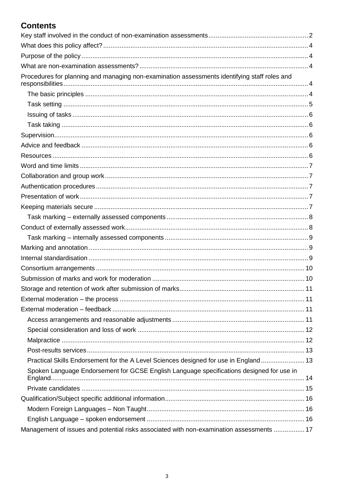# **Contents**

<span id="page-2-0"></span>

| Procedures for planning and managing non-examination assessments identifying staff roles and |  |
|----------------------------------------------------------------------------------------------|--|
|                                                                                              |  |
|                                                                                              |  |
|                                                                                              |  |
|                                                                                              |  |
|                                                                                              |  |
|                                                                                              |  |
|                                                                                              |  |
|                                                                                              |  |
|                                                                                              |  |
|                                                                                              |  |
|                                                                                              |  |
|                                                                                              |  |
|                                                                                              |  |
|                                                                                              |  |
|                                                                                              |  |
|                                                                                              |  |
|                                                                                              |  |
|                                                                                              |  |
|                                                                                              |  |
|                                                                                              |  |
|                                                                                              |  |
|                                                                                              |  |
|                                                                                              |  |
|                                                                                              |  |
|                                                                                              |  |
|                                                                                              |  |
| Practical Skills Endorsement for the A Level Sciences designed for use in England 13         |  |
| Spoken Language Endorsement for GCSE English Language specifications designed for use in     |  |
|                                                                                              |  |
|                                                                                              |  |
|                                                                                              |  |
|                                                                                              |  |
| Management of issues and potential risks associated with non-examination assessments  17     |  |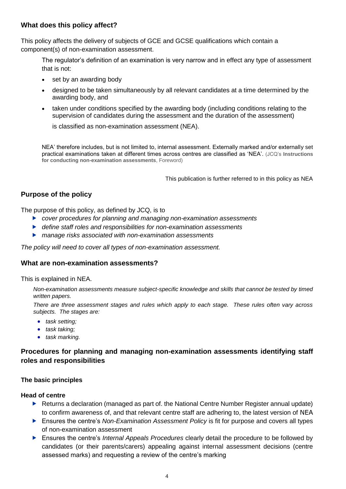# **What does this policy affect?**

This policy affects the delivery of subjects of GCE and GCSE qualifications which contain a component(s) of non-examination assessment.

The regulator's definition of an examination is very narrow and in effect any type of assessment that is not:

- set by an awarding body
- designed to be taken simultaneously by all relevant candidates at a time determined by the awarding body, and
- taken under conditions specified by the awarding body (including conditions relating to the supervision of candidates during the assessment and the duration of the assessment)

is classified as non-examination assessment (NEA).

NEA' therefore includes, but is not limited to, internal assessment. Externally marked and/or externally set practical examinations taken at different times across centres are classified as 'NEA'. (JCQ's **Instructions for conducting non-examination assessments**, Foreword)

This publication is further referred to in this policy as NEA

# <span id="page-3-0"></span>**Purpose of the policy**

The purpose of this policy, as defined by JCQ, is to

- *cover procedures for planning and managing non-examination assessments*
- *define staff roles and responsibilities for non-examination assessments*
- *manage risks associated with non-examination assessments*

<span id="page-3-1"></span>*The policy will need to cover all types of non-examination assessment.* 

#### **What are non-examination assessments?**

This is explained in NEA.

*Non-examination assessments measure subject-specific knowledge and skills that cannot be tested by timed written papers.* 

*There are three assessment stages and rules which apply to each stage. These rules often vary across subjects. The stages are:* 

- *task setting;*
- *task taking;*
- *task marking.*

# <span id="page-3-2"></span>**Procedures for planning and managing non-examination assessments identifying staff roles and responsibilities**

#### <span id="page-3-3"></span>**The basic principles**

#### **Head of centre**

- ▶ Returns a declaration (managed as part of, the National Centre Number Register annual update) to confirm awareness of, and that relevant centre staff are adhering to, the latest version of [NEA](http://www.jcq.org.uk/exams-office/non-examination-assessments)
- ► Ensures the centre's *Non-Examination Assessment Policy* is fit for purpose and covers all types of non-examination assessment
- Ensures the centre's *Internal Appeals Procedures* clearly detail the procedure to be followed by candidates (or their parents/carers) appealing against internal assessment decisions (centre assessed marks) and requesting a review of the centre's marking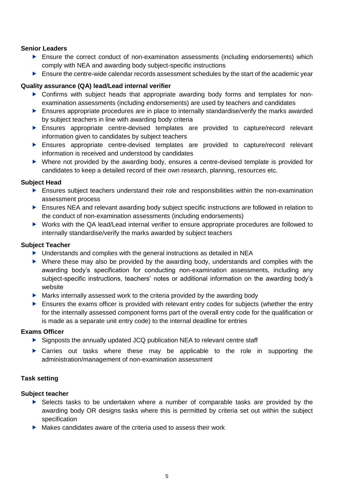#### **Senior Leaders**

- Ensure the correct conduct of non-examination assessments (including endorsements) which comply with NEA and awarding body subject-specific instructions
- **Ensure the centre-wide calendar records assessment schedules by the start of the academic year**

#### **Quality assurance (QA) lead/Lead internal verifier**

- ▶ Confirms with subject heads that appropriate awarding body forms and templates for nonexamination assessments (including endorsements) are used by teachers and candidates
- **Ensures appropriate procedures are in place to internally standardise/verify the marks awarded** by subject teachers in line with awarding body criteria
- Ensures appropriate centre-devised templates are provided to capture/record relevant information given to candidates by subject teachers
- Ensures appropriate centre-devised templates are provided to capture/record relevant information is received and understood by candidates
- Where not provided by the awarding body, ensures a centre-devised template is provided for candidates to keep a detailed record of their own research, planning, resources etc.

#### **Subject Head**

- Ensures subject teachers understand their role and responsibilities within the non-examination assessment process
- ▶ Ensures NEA and relevant awarding body subject specific instructions are followed in relation to the conduct of non-examination assessments (including endorsements)
- ▶ Works with the QA lead/Lead internal verifier to ensure appropriate procedures are followed to internally standardise/verify the marks awarded by subject teachers

#### **Subject Teacher**

- ▶ Understands and complies with the general instructions as detailed in NEA
- Where these may also be provided by the awarding body, understands and complies with the awarding body's specification for conducting non-examination assessments, including any subject-specific instructions, teachers' notes or additional information on the awarding body's website
- Marks internally assessed work to the criteria provided by the awarding body
- $\blacktriangleright$  Ensures the exams officer is provided with relevant entry codes for subjects (whether the entry for the internally assessed component forms part of the overall entry code for the qualification or is made as a separate unit entry code) to the internal deadline for entries

#### **Exams Officer**

- Signposts the annually updated JCQ publication NEA to relevant centre staff
- Carries out tasks where these may be applicable to the role in supporting the administration/management of non-examination assessment

#### <span id="page-4-0"></span>**Task setting**

- Selects tasks to be undertaken where a number of comparable tasks are provided by the awarding body OR designs tasks where this is permitted by criteria set out within the subject specification
- $\triangleright$  Makes candidates aware of the criteria used to assess their work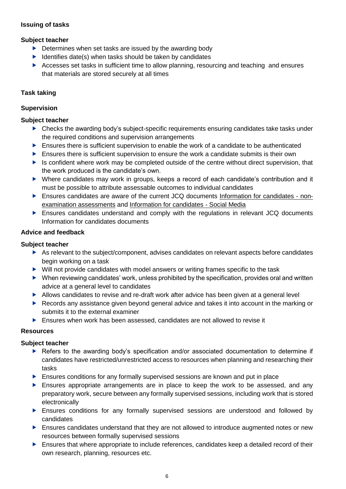# <span id="page-5-0"></span>**Issuing of tasks**

# **Subject teacher**

- $\triangleright$  Determines when set tasks are issued by the awarding body
- $\blacktriangleright$  Identifies date(s) when tasks should be taken by candidates
- Accesses set tasks in sufficient time to allow planning, resourcing and teaching and ensures that materials are stored securely at all times

#### <span id="page-5-1"></span>**Task taking**

#### <span id="page-5-2"></span>**Supervision**

#### **Subject teacher**

- ▶ Checks the awarding body's subject-specific requirements ensuring candidates take tasks under the required conditions and supervision arrangements
- $\blacktriangleright$  Ensures there is sufficient supervision to enable the work of a candidate to be authenticated
- Ensures there is sufficient supervision to ensure the work a candidate submits is their own
- $\blacktriangleright$  Is confident where work may be completed outside of the centre without direct supervision, that the work produced is the candidate's own.
- Where candidates may work in groups, keeps a record of each candidate's contribution and it must be possible to attribute assessable outcomes to individual candidates
- Ensures candidates are aware of the current JCQ documents [Information for candidates -](http://www.jcq.org.uk/exams-office/information-for-candidates-documents) non[examination assessments](http://www.jcq.org.uk/exams-office/information-for-candidates-documents) and [Information for candidates -](http://www.jcq.org.uk/exams-office/information-for-candidates-documents) Social Media
- Ensures candidates understand and comply with the regulations in relevant JCQ documents Information for candidates documents

#### <span id="page-5-3"></span>**Advice and feedback**

# **Subject teacher**

- $\triangleright$  As relevant to the subject/component, advises candidates on relevant aspects before candidates begin working on a task
- Will not provide candidates with model answers or writing frames specific to the task
- $\blacktriangleright$  When reviewing candidates' work, unless prohibited by the specification, provides oral and written advice at a general level to candidates
- Allows candidates to revise and re-draft work after advice has been given at a general level
- ▶ Records any assistance given beyond general advice and takes it into account in the marking or submits it to the external examiner
- Ensures when work has been assessed, candidates are not allowed to revise it

#### <span id="page-5-4"></span>**Resources**

- Refers to the awarding body's specification and/or associated documentation to determine if candidates have restricted/unrestricted access to resources when planning and researching their tasks
- **Ensures conditions for any formally supervised sessions are known and put in place**
- Ensures appropriate arrangements are in place to keep the work to be assessed, and any preparatory work, secure between any formally supervised sessions, including work that is stored electronically
- Ensures conditions for any formally supervised sessions are understood and followed by candidates
- **Ensures candidates understand that they are not allowed to introduce augmented notes or new** resources between formally supervised sessions
- Ensures that where appropriate to include references, candidates keep a detailed record of their own research, planning, resources etc.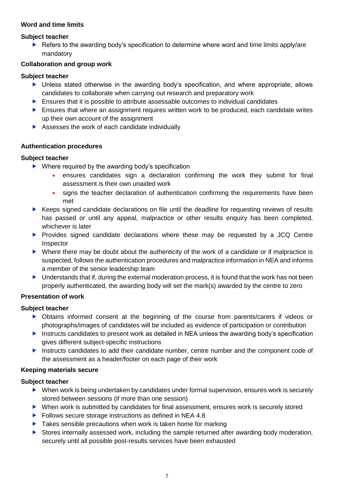# <span id="page-6-0"></span>**Word and time limits**

#### **Subject teacher**

 $\blacktriangleright$  Refers to the awarding body's specification to determine where word and time limits apply/are mandatory

# <span id="page-6-1"></span>**Collaboration and group work**

#### **Subject teacher**

- Unless stated otherwise in the awarding body's specification, and where appropriate, allows candidates to collaborate when carrying out research and preparatory work
- $\blacktriangleright$  Ensures that it is possible to attribute assessable outcomes to individual candidates
- **Ensures that where an assignment requires written work to be produced, each candidate writes** up their own account of the assignment
- Assesses the work of each candidate individually

#### <span id="page-6-2"></span>**Authentication procedures**

#### **Subject teacher**

- ▶ Where required by the awarding body's specification
	- ensures candidates sign a declaration confirming the work they submit for final assessment is their own unaided work
	- signs the teacher declaration of authentication confirming the requirements have been met
- ▶ Keeps signed candidate declarations on file until the deadline for requesting reviews of results has passed or until any appeal, malpractice or other results enquiry has been completed, whichever is later
- **Provides signed candidate declarations where these may be requested by a JCQ Centre** Inspector
- Where there may be doubt about the authenticity of the work of a candidate or if malpractice is suspected, follows the authentication procedures and malpractice information in NEA and informs a member of the senior leadership team
- ▶ Understands that if, during the external moderation process, it is found that the work has not been properly authenticated, the awarding body will set the mark(s) awarded by the centre to zero

#### <span id="page-6-3"></span>**Presentation of work**

# **Subject teacher**

- Obtains informed consent at the beginning of the course from parents/carers if videos or photographs/images of candidates will be included as evidence of participation or contribution
- Instructs candidates to present work as detailed in NEA unless the awarding body's specification gives different subject-specific instructions
- Instructs candidates to add their candidate number, centre number and the component code of the assessment as a header/footer on each page of their work

# <span id="page-6-4"></span>**Keeping materials secure**

- ▶ When work is being undertaken by candidates under formal supervision, ensures work is securely stored between sessions (if more than one session)
- When work is submitted by candidates for final assessment, ensures work is securely stored
- ▶ Follows secure storage instructions as defined in NEA 4.8
- $\blacktriangleright$  Takes sensible precautions when work is taken home for marking
- Stores internally assessed work, including the sample returned after awarding body moderation, securely until all possible post-results services have been exhausted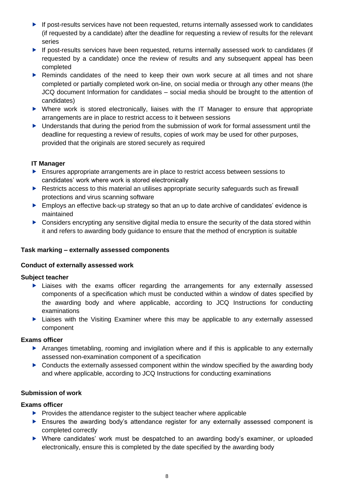- ▶ If post-results services have not been requested, returns internally assessed work to candidates (if requested by a candidate) after the deadline for requesting a review of results for the relevant series
- ▶ If post-results services have been requested, returns internally assessed work to candidates (if requested by a candidate) once the review of results and any subsequent appeal has been completed
- ▶ Reminds candidates of the need to keep their own work secure at all times and not share completed or partially completed work on-line, on social media or through any other means (the JCQ document Information for candidates – social media should be brought to the attention of candidates)
- Where work is stored electronically, liaises with the IT Manager to ensure that appropriate arrangements are in place to restrict access to it between sessions
- ▶ Understands that during the period from the submission of work for formal assessment until the deadline for requesting a review of results, copies of work may be used for other purposes, provided that the originals are stored securely as required

# **IT Manager**

- Ensures appropriate arrangements are in place to restrict access between sessions to candidates' work where work is stored electronically
- Restricts access to this material an utilises appropriate security safeguards such as firewall protections and virus scanning software
- Employs an effective back-up strategy so that an up to date archive of candidates' evidence is maintained
- **Considers encrypting any sensitive digital media to ensure the security of the data stored within** it and refers to awarding body guidance to ensure that the method of encryption is suitable

# <span id="page-7-0"></span>**Task marking – externally assessed components**

# <span id="page-7-1"></span>**Conduct of externally assessed work**

# **Subject teacher**

- Liaises with the exams officer regarding the arrangements for any externally assessed components of a specification which must be conducted within a window of dates specified by the awarding body and where applicable, according to JCQ Instructions for conducting examinations
- Liaises with the Visiting Examiner where this may be applicable to any externally assessed component

# **Exams officer**

- Arranges timetabling, rooming and invigilation where and if this is applicable to any externally assessed non-examination component of a specification
- Conducts the externally assessed component within the window specified by the awarding body and where applicable, according to JCQ Instructions for conducting examinations

# **Submission of work**

# **Exams officer**

- $\blacktriangleright$  Provides the attendance register to the subject teacher where applicable
- Ensures the awarding body's attendance register for any externally assessed component is completed correctly
- Where candidates' work must be despatched to an awarding body's examiner, or uploaded electronically, ensure this is completed by the date specified by the awarding body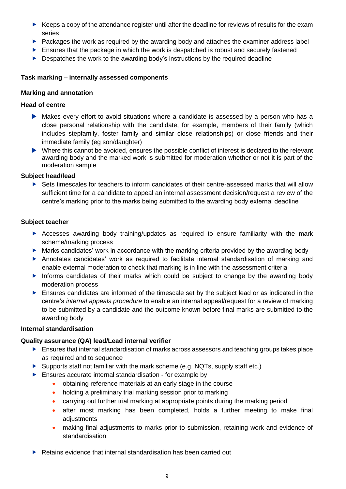- $\blacktriangleright$  Keeps a copy of the attendance register until after the deadline for reviews of results for the exam series
- Packages the work as required by the awarding body and attaches the examiner address label
- **Ensures that the package in which the work is despatched is robust and securely fastened**
- $\triangleright$  Despatches the work to the awarding body's instructions by the required deadline

# <span id="page-8-0"></span>**Task marking – internally assessed components**

#### <span id="page-8-1"></span>**Marking and annotation**

#### **Head of centre**

- Makes every effort to avoid situations where a candidate is assessed by a person who has a close personal relationship with the candidate, for example, members of their family (which includes stepfamily, foster family and similar close relationships) or close friends and their immediate family (eg son/daughter)
- $\blacktriangleright$  Where this cannot be avoided, ensures the possible conflict of interest is declared to the relevant awarding body and the marked work is submitted for moderation whether or not it is part of the moderation sample

#### **Subject head/lead**

 Sets timescales for teachers to inform candidates of their centre-assessed marks that will allow sufficient time for a candidate to appeal an internal assessment decision/request a review of the centre's marking prior to the marks being submitted to the awarding body external deadline

#### **Subject teacher**

- Accesses awarding body training/updates as required to ensure familiarity with the mark scheme/marking process
- $\blacktriangleright$  Marks candidates' work in accordance with the marking criteria provided by the awarding body
- Annotates candidates' work as required to facilitate internal standardisation of marking and enable external moderation to check that marking is in line with the assessment criteria
- Informs candidates of their marks which could be subject to change by the awarding body moderation process
- Ensures candidates are informed of the timescale set by the subject lead or as indicated in the centre's *internal appeals procedure* to enable an internal appeal/request for a review of marking to be submitted by a candidate and the outcome known before final marks are submitted to the awarding body

#### <span id="page-8-2"></span>**Internal standardisation**

#### **Quality assurance (QA) lead/Lead internal verifier**

- $\blacktriangleright$  Ensures that internal standardisation of marks across assessors and teaching groups takes place as required and to sequence
- Supports staff not familiar with the mark scheme (e.g. NQTs, supply staff etc.)
- **Ensures accurate internal standardisation for example by** 
	- obtaining reference materials at an early stage in the course
	- holding a preliminary trial marking session prior to marking
	- carrying out further trial marking at appropriate points during the marking period
	- after most marking has been completed, holds a further meeting to make final adjustments
	- making final adjustments to marks prior to submission, retaining work and evidence of standardisation
- ▶ Retains evidence that internal standardisation has been carried out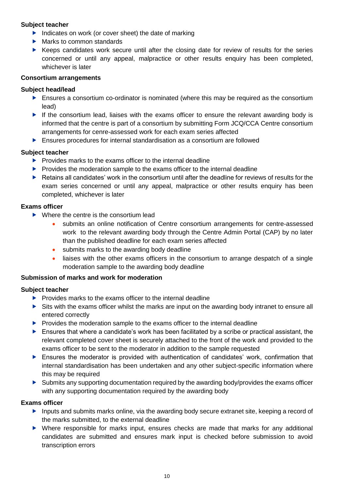#### **Subject teacher**

- Indicates on work (or cover sheet) the date of marking
- Marks to common standards
- $\blacktriangleright$  Keeps candidates work secure until after the closing date for review of results for the series concerned or until any appeal, malpractice or other results enquiry has been completed, whichever is later

#### <span id="page-9-0"></span>**Consortium arrangements**

#### **Subject head/lead**

- **Ensures a consortium co-ordinator is nominated (where this may be required as the consortium** lead)
- If the consortium lead, liaises with the exams officer to ensure the relevant awarding body is informed that the centre is part of a consortium by submitting Form JCQ/CCA Centre consortium arrangements for cenre-assessed work for each exam series affected
- Ensures procedures for internal standardisation as a consortium are followed

#### **Subject teacher**

- $\blacktriangleright$  Provides marks to the exams officer to the internal deadline
- $\blacktriangleright$  Provides the moderation sample to the exams officer to the internal deadline
- $\blacktriangleright$  Retains all candidates' work in the consortium until after the deadline for reviews of results for the exam series concerned or until any appeal, malpractice or other results enquiry has been completed, whichever is later

#### **Exams officer**

- ▶ Where the centre is the consortium lead
	- submits an online notification of Centre consortium arrangements for centre-assessed work to the relevant awarding body through the Centre Admin Portal (CAP) by no later than the published deadline for each exam series affected
	- submits marks to the awarding body deadline
	- liaises with the other exams officers in the consortium to arrange despatch of a single moderation sample to the awarding body deadline

#### <span id="page-9-1"></span>**Submission of marks and work for moderation**

#### **Subject teacher**

- $\blacktriangleright$  Provides marks to the exams officer to the internal deadline
- Sits with the exams officer whilst the marks are input on the awarding body intranet to ensure all entered correctly
- $\blacktriangleright$  Provides the moderation sample to the exams officer to the internal deadline
- Ensures that where a candidate's work has been facilitated by a scribe or practical assistant, the relevant completed cover sheet is securely attached to the front of the work and provided to the exams officer to be sent to the moderator in addition to the sample requested
- Ensures the moderator is provided with authentication of candidates' work, confirmation that internal standardisation has been undertaken and any other subject-specific information where this may be required
- Submits any supporting documentation required by the awarding body/provides the exams officer with any supporting documentation required by the awarding body

#### **Exams officer**

- Inputs and submits marks online, via the awarding body secure extranet site, keeping a record of the marks submitted, to the external deadline
- Where responsible for marks input, ensures checks are made that marks for any additional candidates are submitted and ensures mark input is checked before submission to avoid transcription errors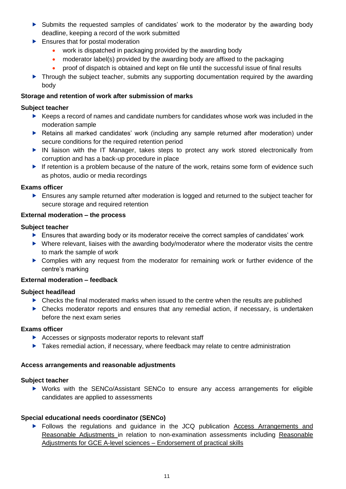- Submits the requested samples of candidates' work to the moderator by the awarding body deadline, keeping a record of the work submitted
- Ensures that for postal moderation
	- work is dispatched in packaging provided by the awarding body
	- moderator label(s) provided by the awarding body are affixed to the packaging
	- proof of dispatch is obtained and kept on file until the successful issue of final results
- **Through the subject teacher, submits any supporting documentation required by the awarding** body

# <span id="page-10-0"></span>**Storage and retention of work after submission of marks**

#### **Subject teacher**

- Keeps a record of names and candidate numbers for candidates whose work was included in the moderation sample
- Retains all marked candidates' work (including any sample returned after moderation) under secure conditions for the required retention period
- IN liaison with the IT Manager, takes steps to protect any work stored electronically from corruption and has a back-up procedure in place
- If retention is a problem because of the nature of the work, retains some form of evidence such as photos, audio or media recordings

#### **Exams officer**

**Ensures any sample returned after moderation is logged and returned to the subject teacher for** secure storage and required retention

#### <span id="page-10-1"></span>**External moderation – the process**

#### **Subject teacher**

- Ensures that awarding body or its moderator receive the correct samples of candidates' work
- Where relevant, liaises with the awarding body/moderator where the moderator visits the centre to mark the sample of work
- Complies with any request from the moderator for remaining work or further evidence of the centre's marking

# <span id="page-10-2"></span>**External moderation – feedback**

#### **Subject head/lead**

- ▶ Checks the final moderated marks when issued to the centre when the results are published
- Checks moderator reports and ensures that any remedial action, if necessary, is undertaken before the next exam series

#### **Exams officer**

- Accesses or signposts moderator reports to relevant staff
- ▶ Takes remedial action, if necessary, where feedback may relate to centre administration

#### <span id="page-10-3"></span>**Access arrangements and reasonable adjustments**

#### **Subject teacher**

 Works with the SENCo/Assistant SENCo to ensure any access arrangements for eligible candidates are applied to assessments

#### **Special educational needs coordinator (SENCo)**

**Follows the regulations and guidance in the JCQ publication Access Arrangements and** [Reasonable Adjustments](http://www.jcq.org.uk/exams-office/access-arrangements-and-special-consideration) in relation to non-examination assessments including [Reasonable](https://www.jcq.org.uk/exams-office/access-arrangements-and-special-consideration/regulations-and-guidance)  [Adjustments for GCE A-level sciences –](https://www.jcq.org.uk/exams-office/access-arrangements-and-special-consideration/regulations-and-guidance) Endorsement of practical skills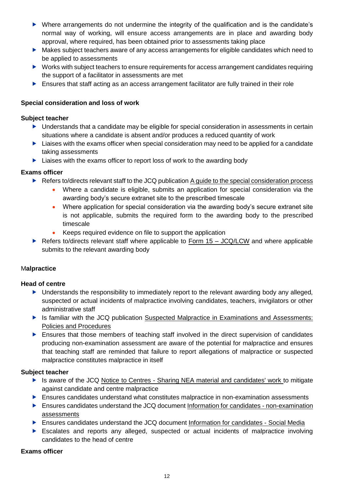- Where arrangements do not undermine the integrity of the qualification and is the candidate's normal way of working, will ensure access arrangements are in place and awarding body approval, where required, has been obtained prior to assessments taking place
- Makes subject teachers aware of any access arrangements for eligible candidates which need to be applied to assessments
- Works with subject teachers to ensure requirements for access arrangement candidates requiring the support of a facilitator in assessments are met
- **Ensures that staff acting as an access arrangement facilitator are fully trained in their role**

# <span id="page-11-0"></span>**Special consideration and loss of work**

# **Subject teacher**

- Understands that a candidate may be eligible for special consideration in assessments in certain situations where a candidate is absent and/or produces a reduced quantity of work
- **Liaises with the exams officer when special consideration may need to be applied for a candidate** taking assessments
- ▶ Liaises with the exams officer to report loss of work to the awarding body

# **Exams officer**

- Refers to/directs relevant staff to the JCQ publication A guide to the special consideration process
	- Where a candidate is eligible, submits an application for special consideration via the awarding body's secure extranet site to the prescribed timescale
	- Where application for special consideration via the awarding body's secure extranet site is not applicable, submits the required form to the awarding body to the prescribed timescale
	- Keeps required evidence on file to support the application
- ▶ Refers to/directs relevant staff where applicable to [Form 15 –](https://www.jcq.org.uk/exams-office/non-examinationassessments) JCQ/LCW and where applicable submits to the relevant awarding body

# <span id="page-11-1"></span>M**alpractice**

# **Head of centre**

- Understands the responsibility to immediately report to the relevant awarding body any alleged, suspected or actual incidents of malpractice involving candidates, teachers, invigilators or other administrative staff
- ▶ Is familiar with the JCQ publication Suspected Malpractice in Examinations and Assessments: [Policies and Procedures](http://www.jcq.org.uk/exams-office/malpractice)
- Ensures that those members of teaching staff involved in the direct supervision of candidates producing non-examination assessment are aware of the potential for malpractice and ensures that teaching staff are reminded that failure to report allegations of malpractice or suspected malpractice constitutes malpractice in itself

# **Subject teacher**

- ▶ Is aware of the JCQ Notice to Centres [Sharing NEA material and candidates' work](http://www.jcq.org.uk/exams-office/non-examination-assessments) to mitigate against candidate and centre malpractice
- Ensures candidates understand what constitutes malpractice in non-examination assessments
- Ensures candidates understand the JCQ document [Information for candidates -](http://www.jcq.org.uk/exams-office/information-for-candidates-documents) non-examination [assessments](http://www.jcq.org.uk/exams-office/information-for-candidates-documents)
- Ensures candidates understand the JCQ document [Information for candidates -](http://www.jcq.org.uk/exams-office/information-for-candidates-documents) Social Media
- Escalates and reports any alleged, suspected or actual incidents of malpractice involving candidates to the head of centre

#### **Exams officer**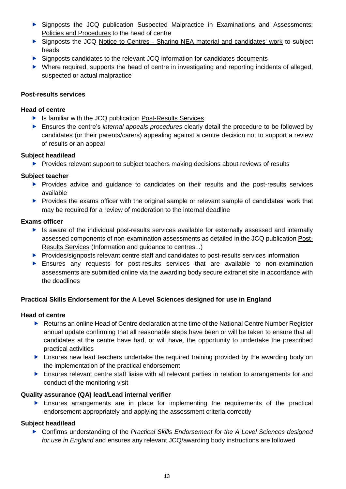- Signposts the JCQ publication [Suspected Malpractice in Examinations and Assessments:](http://www.jcq.org.uk/exams-office/malpractice)  [Policies and Procedures](http://www.jcq.org.uk/exams-office/malpractice) to the head of centre
- Signposts the JCQ Notice to Centres [Sharing NEA material and candidates' work](http://www.jcq.org.uk/exams-office/non-examination-assessments) to subject heads
- Signposts candidates to the relevant JCQ information for candidates documents
- Where required, supports the head of centre in investigating and reporting incidents of alleged, suspected or actual malpractice

#### <span id="page-12-0"></span>**Post-results services**

#### **Head of centre**

- ▶ Is familiar with the JCQ publication [Post-Results Services](https://www.jcq.org.uk/exams-office/post-results-services)
- Ensures the centre's *internal appeals procedures* clearly detail the procedure to be followed by candidates (or their parents/carers) appealing against a centre decision not to support a review of results or an appeal

#### **Subject head/lead**

**Provides relevant support to subject teachers making decisions about reviews of results** 

# **Subject teacher**

- Provides advice and guidance to candidates on their results and the post-results services available
- Provides the exams officer with the original sample or relevant sample of candidates' work that may be required for a review of moderation to the internal deadline

#### **Exams officer**

- $\blacktriangleright$  Is aware of the individual post-results services available for externally assessed and internally assessed components of non-examination assessments as detailed in the JCQ publication [Post-](https://www.jcq.org.uk/exams-office/post-results-services)[Results Services](https://www.jcq.org.uk/exams-office/post-results-services) (Information and guidance to centres...)
- Provides/signposts relevant centre staff and candidates to post-results services information
- Ensures any requests for post-results services that are available to non-examination assessments are submitted online via the awarding body secure extranet site in accordance with the deadlines

# <span id="page-12-1"></span>**Practical Skills Endorsement for the A Level Sciences designed for use in England**

#### **Head of centre**

- **EXECT** Returns an online Head of Centre declaration at the time of the National Centre Number Register annual update confirming that all reasonable steps have been or will be taken to ensure that all candidates at the centre have had, or will have, the opportunity to undertake the prescribed practical activities
- Ensures new lead teachers undertake the required training provided by the awarding body on the implementation of the practical endorsement
- **Ensures relevant centre staff liaise with all relevant parties in relation to arrangements for and** conduct of the monitoring visit

# **Quality assurance (QA) lead/Lead internal verifier**

 Ensures arrangements are in place for implementing the requirements of the practical endorsement appropriately and applying the assessment criteria correctly

# **Subject head/lead**

▶ Confirms understanding of the *Practical Skills Endorsement for the A Level Sciences designed for use in England* and ensures any relevant JCQ/awarding body instructions are followed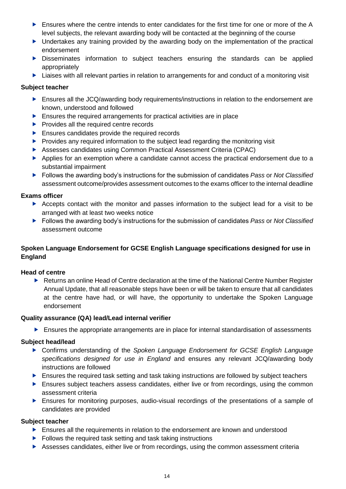- Ensures where the centre intends to enter candidates for the first time for one or more of the A level subjects, the relevant awarding body will be contacted at the beginning of the course
- $\triangleright$  Undertakes any training provided by the awarding body on the implementation of the practical endorsement
- Disseminates information to subject teachers ensuring the standards can be applied appropriately
- ▶ Liaises with all relevant parties in relation to arrangements for and conduct of a monitoring visit

#### **Subject teacher**

- **Ensures all the JCQ/awarding body requirements/instructions in relation to the endorsement are** known, understood and followed
- **Ensures the required arrangements for practical activities are in place**
- $\blacktriangleright$  Provides all the required centre records
- **Ensures candidates provide the required records**
- $\blacktriangleright$  Provides any required information to the subject lead regarding the monitoring visit
- Assesses candidates using Common Practical Assessment Criteria (CPAC)
- Applies for an exemption where a candidate cannot access the practical endorsement due to a substantial impairment
- Follows the awarding body's instructions for the submission of candidates *Pass* or *Not Classified* assessment outcome/provides assessment outcomes to the exams officer to the internal deadline

#### **Exams officer**

- Accepts contact with the monitor and passes information to the subject lead for a visit to be arranged with at least two weeks notice
- Follows the awarding body's instructions for the submission of candidates *Pass* or *Not Classified*  assessment outcome

# <span id="page-13-0"></span>**Spoken Language Endorsement for GCSE English Language specifications designed for use in England**

#### **Head of centre**

Returns an online Head of Centre declaration at the time of the National Centre Number Register Annual Update, that all reasonable steps have been or will be taken to ensure that all candidates at the centre have had, or will have, the opportunity to undertake the Spoken Language endorsement

#### **Quality assurance (QA) lead/Lead internal verifier**

Ensures the appropriate arrangements are in place for internal standardisation of assessments

#### **Subject head/lead**

- Confirms understanding of the *Spoken Language Endorsement for GCSE English Language specifications designed for use in England* and ensures any relevant JCQ/awarding body instructions are followed
- **Ensures the required task setting and task taking instructions are followed by subject teachers**
- **Ensures subject teachers assess candidates, either live or from recordings, using the common** assessment criteria
- Ensures for monitoring purposes, audio-visual recordings of the presentations of a sample of candidates are provided

- Ensures all the requirements in relation to the endorsement are known and understood
- $\blacktriangleright$  Follows the required task setting and task taking instructions
- Assesses candidates, either live or from recordings, using the common assessment criteria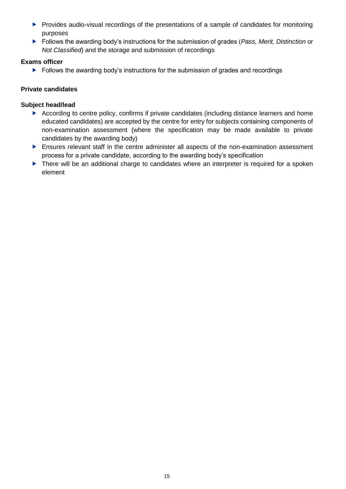- **Provides audio-visual recordings of the presentations of a sample of candidates for monitoring** purposes
- Follows the awarding body's instructions for the submission of grades (*Pass, Merit, Distinction* or *Not Classified*) and the storage and submission of recordings

# **Exams officer**

▶ Follows the awarding body's instructions for the submission of grades and recordings

# <span id="page-14-0"></span>**Private candidates**

#### **Subject head/lead**

- According to centre policy, confirms if private candidates (including distance learners and home educated candidates) are accepted by the centre for entry for subjects containing components of non-examination assessment (where the specification may be made available to private candidates by the awarding body)
- Ensures relevant staff in the centre administer all aspects of the non-examination assessment process for a private candidate, according to the awarding body's specification
- There will be an additional charge to candidates where an interpreter is required for a spoken element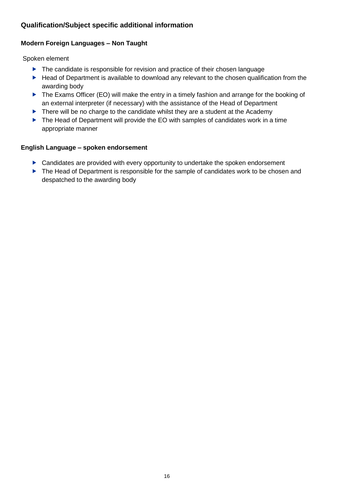# <span id="page-15-0"></span>**Qualification/Subject specific additional information**

# <span id="page-15-1"></span>**Modern Foreign Languages – Non Taught**

Spoken element

- ▶ The candidate is responsible for revision and practice of their chosen language
- Head of Department is available to download any relevant to the chosen qualification from the awarding body
- The Exams Officer (EO) will make the entry in a timely fashion and arrange for the booking of an external interpreter (if necessary) with the assistance of the Head of Department
- There will be no charge to the candidate whilst they are a student at the Academy
- ▶ The Head of Department will provide the EO with samples of candidates work in a time appropriate manner

# <span id="page-15-2"></span>**English Language – spoken endorsement**

- ▶ Candidates are provided with every opportunity to undertake the spoken endorsement
- The Head of Department is responsible for the sample of candidates work to be chosen and despatched to the awarding body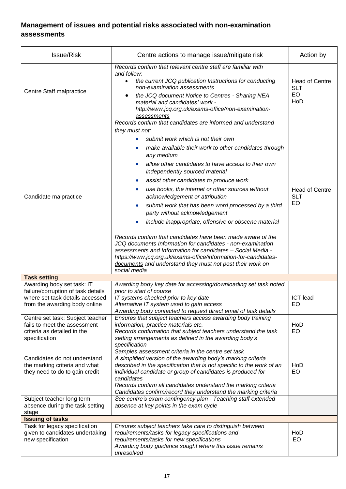# <span id="page-16-0"></span>**Management of issues and potential risks associated with non-examination assessments**

| <b>Issue/Risk</b>                                                                                                | Centre actions to manage issue/mitigate risk                                                                                                                                                                                                                                                                                                                                                                                                                                                                                                                                                                                                                                                                                                                                                                                                                                                                                                                                  | Action by                                        |
|------------------------------------------------------------------------------------------------------------------|-------------------------------------------------------------------------------------------------------------------------------------------------------------------------------------------------------------------------------------------------------------------------------------------------------------------------------------------------------------------------------------------------------------------------------------------------------------------------------------------------------------------------------------------------------------------------------------------------------------------------------------------------------------------------------------------------------------------------------------------------------------------------------------------------------------------------------------------------------------------------------------------------------------------------------------------------------------------------------|--------------------------------------------------|
| Centre Staff malpractice                                                                                         | Records confirm that relevant centre staff are familiar with<br>and follow:<br>the current JCQ publication Instructions for conducting<br>$\bullet$<br>non-examination assessments<br>the JCQ document Notice to Centres - Sharing NEA<br>material and candidates' work -<br>http://www.jcq.org.uk/exams-office/non-examination-<br>assessments                                                                                                                                                                                                                                                                                                                                                                                                                                                                                                                                                                                                                               | <b>Head of Centre</b><br><b>SLT</b><br>EO<br>HoD |
| Candidate malpractice                                                                                            | Records confirm that candidates are informed and understand<br>they must not:<br>submit work which is not their own<br>۰<br>make available their work to other candidates through<br>any medium<br>allow other candidates to have access to their own<br>$\bullet$<br>independently sourced material<br>assist other candidates to produce work<br>$\bullet$<br>use books, the internet or other sources without<br>$\bullet$<br>acknowledgement or attribution<br>submit work that has been word processed by a third<br>$\bullet$<br>party without acknowledgement<br>include inappropriate, offensive or obscene material<br>٠<br>Records confirm that candidates have been made aware of the<br>JCQ documents Information for candidates - non-examination<br>assessments and Information for candidates - Social Media -<br>https://www.jcq.org.uk/exams-office/information-for-candidates-<br>documents and understand they must not post their work on<br>social media | <b>Head of Centre</b><br><b>SLT</b><br>EO        |
| <b>Task setting</b><br>Awarding body set task: IT                                                                | Awarding body key date for accessing/downloading set task noted                                                                                                                                                                                                                                                                                                                                                                                                                                                                                                                                                                                                                                                                                                                                                                                                                                                                                                               |                                                  |
| failure/corruption of task details<br>where set task details accessed<br>from the awarding body online           | prior to start of course<br>IT systems checked prior to key date<br>Alternative IT system used to gain access<br>Awarding body contacted to request direct email of task details                                                                                                                                                                                                                                                                                                                                                                                                                                                                                                                                                                                                                                                                                                                                                                                              | <b>ICT</b> lead<br>EO                            |
| Centre set task: Subject teacher<br>fails to meet the assessment<br>criteria as detailed in the<br>specification | Ensures that subject teachers access awarding body training<br>information, practice materials etc.<br>Records confirmation that subject teachers understand the task<br>setting arrangements as defined in the awarding body's<br>specification<br>Samples assessment criteria in the centre set task                                                                                                                                                                                                                                                                                                                                                                                                                                                                                                                                                                                                                                                                        | HoD<br>EO                                        |
| Candidates do not understand<br>the marking criteria and what<br>they need to do to gain credit                  | A simplified version of the awarding body's marking criteria<br>described in the specification that is not specific to the work of an<br>individual candidate or group of candidates is produced for<br>candidates<br>Records confirm all candidates understand the marking criteria<br>Candidates confirm/record they understand the marking criteria                                                                                                                                                                                                                                                                                                                                                                                                                                                                                                                                                                                                                        | HoD<br>EO                                        |
| Subject teacher long term<br>absence during the task setting<br>stage                                            | See centre's exam contingency plan - Teaching staff extended<br>absence at key points in the exam cycle                                                                                                                                                                                                                                                                                                                                                                                                                                                                                                                                                                                                                                                                                                                                                                                                                                                                       |                                                  |
| <b>Issuing of tasks</b>                                                                                          |                                                                                                                                                                                                                                                                                                                                                                                                                                                                                                                                                                                                                                                                                                                                                                                                                                                                                                                                                                               |                                                  |
| Task for legacy specification<br>given to candidates undertaking<br>new specification                            | Ensures subject teachers take care to distinguish between<br>requirements/tasks for legacy specifications and<br>requirements/tasks for new specifications<br>Awarding body guidance sought where this issue remains<br>unresolved                                                                                                                                                                                                                                                                                                                                                                                                                                                                                                                                                                                                                                                                                                                                            | HoD<br>EO                                        |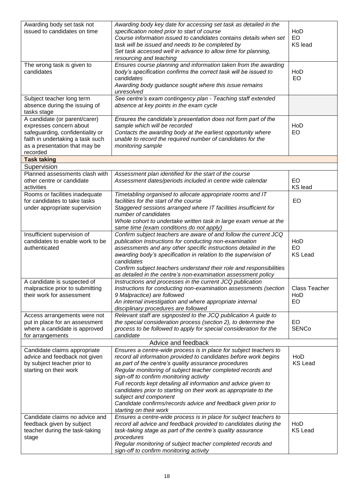| Awarding body set task not<br>issued to candidates on time                                                                                                                    | Awarding body key date for accessing set task as detailed in the<br>specification noted prior to start of course<br>Course information issued to candidates contains details when set<br>task will be issued and needs to be completed by<br>Set task accessed well in advance to allow time for planning,<br>resourcing and teaching                                                                                                                                                                                                                              | HoD<br>EO<br><b>KS</b> lead        |  |
|-------------------------------------------------------------------------------------------------------------------------------------------------------------------------------|--------------------------------------------------------------------------------------------------------------------------------------------------------------------------------------------------------------------------------------------------------------------------------------------------------------------------------------------------------------------------------------------------------------------------------------------------------------------------------------------------------------------------------------------------------------------|------------------------------------|--|
| The wrong task is given to<br>candidates                                                                                                                                      | Ensures course planning and information taken from the awarding<br>body's specification confirms the correct task will be issued to<br>candidates<br>Awarding body guidance sought where this issue remains<br>unresolved                                                                                                                                                                                                                                                                                                                                          | HoD<br>EO                          |  |
| Subject teacher long term<br>absence during the issuing of<br>tasks stage                                                                                                     | See centre's exam contingency plan - Teaching staff extended<br>absence at key points in the exam cycle                                                                                                                                                                                                                                                                                                                                                                                                                                                            |                                    |  |
| A candidate (or parent/carer)<br>expresses concern about<br>safeguarding, confidentiality or<br>faith in undertaking a task such<br>as a presentation that may be<br>recorded | Ensures the candidate's presentation does not form part of the<br>sample which will be recorded<br>Contacts the awarding body at the earliest opportunity where<br>unable to record the required number of candidates for the<br>monitoring sample                                                                                                                                                                                                                                                                                                                 | HoD<br>EO                          |  |
| <b>Task taking</b>                                                                                                                                                            |                                                                                                                                                                                                                                                                                                                                                                                                                                                                                                                                                                    |                                    |  |
| Supervision<br>Planned assessments clash with<br>other centre or candidate<br>activities                                                                                      | Assessment plan identified for the start of the course<br>Assessment dates/periods included in centre wide calendar                                                                                                                                                                                                                                                                                                                                                                                                                                                | EO<br><b>KS</b> lead               |  |
| Rooms or facilities inadequate<br>for candidates to take tasks<br>under appropriate supervision                                                                               | Timetabling organised to allocate appropriate rooms and IT<br>facilities for the start of the course<br>Staggered sessions arranged where IT facilities insufficient for<br>number of candidates<br>Whole cohort to undertake written task in large exam venue at the<br>same time (exam conditions do not apply)                                                                                                                                                                                                                                                  | EO                                 |  |
| Insufficient supervision of<br>candidates to enable work to be<br>authenticated                                                                                               | Confirm subject teachers are aware of and follow the current JCQ<br>publication Instructions for conducting non-examination<br>assessments and any other specific instructions detailed in the<br>awarding body's specification in relation to the supervision of<br>candidates<br>Confirm subject teachers understand their role and responsibilities<br>as detailed in the centre's non-examination assessment policy                                                                                                                                            | HoD<br><b>EO</b><br><b>KS Lead</b> |  |
| A candidate is suspected of<br>malpractice prior to submitting<br>their work for assessment                                                                                   | Instructions and processes in the current JCQ publication<br>Instructions for conducting non-examination assessments (section<br>9 Malpractice) are followed<br>An internal investigation and where appropriate internal<br>disciplinary procedures are followed                                                                                                                                                                                                                                                                                                   | <b>Class Teacher</b><br>HoD<br>EO. |  |
| Access arrangements were not<br>put in place for an assessment<br>where a candidate is approved<br>for arrangements                                                           | Relevant staff are signposted to the JCQ publication A guide to<br>the special consideration process (section 2), to determine the<br>process to be followed to apply for special consideration for the<br>candidate                                                                                                                                                                                                                                                                                                                                               | EO<br><b>SENCo</b>                 |  |
| Advice and feedback                                                                                                                                                           |                                                                                                                                                                                                                                                                                                                                                                                                                                                                                                                                                                    |                                    |  |
| Candidate claims appropriate<br>advice and feedback not given<br>by subject teacher prior to<br>starting on their work                                                        | Ensures a centre-wide process is in place for subject teachers to<br>record all information provided to candidates before work begins<br>as part of the centre's quality assurance procedures<br>Regular monitoring of subject teacher completed records and<br>sign-off to confirm monitoring activity<br>Full records kept detailing all information and advice given to<br>candidates prior to starting on their work as appropriate to the<br>subject and component<br>Candidate confirms/records advice and feedback given prior to<br>starting on their work | HoD<br><b>KS Lead</b>              |  |
| Candidate claims no advice and<br>feedback given by subject<br>teacher during the task-taking<br>stage                                                                        | Ensures a centre-wide process is in place for subject teachers to<br>record all advice and feedback provided to candidates during the<br>task-taking stage as part of the centre's quality assurance<br>procedures<br>Regular monitoring of subject teacher completed records and<br>sign-off to confirm monitoring activity                                                                                                                                                                                                                                       | HoD<br><b>KS Lead</b>              |  |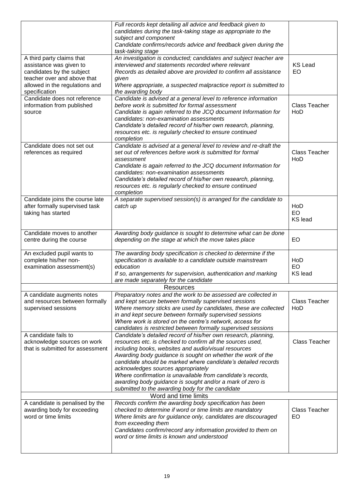|                                                                 | Full records kept detailing all advice and feedback given to                                                           |                      |
|-----------------------------------------------------------------|------------------------------------------------------------------------------------------------------------------------|----------------------|
|                                                                 | candidates during the task-taking stage as appropriate to the<br>subject and component                                 |                      |
|                                                                 | Candidate confirms/records advice and feedback given during the                                                        |                      |
|                                                                 | task-taking stage                                                                                                      |                      |
| A third party claims that                                       | An investigation is conducted; candidates and subject teacher are                                                      |                      |
| assistance was given to                                         | interviewed and statements recorded where relevant                                                                     | <b>KS Lead</b>       |
| candidates by the subject<br>teacher over and above that        | Records as detailed above are provided to confirm all assistance                                                       | EO                   |
| allowed in the regulations and                                  | given<br>Where appropriate, a suspected malpractice report is submitted to                                             |                      |
| specification                                                   | the awarding body                                                                                                      |                      |
| Candidate does not reference                                    | Candidate is advised at a general level to reference information                                                       |                      |
| information from published                                      | before work is submitted for formal assessment                                                                         | <b>Class Teacher</b> |
| source                                                          | Candidate is again referred to the JCQ document Information for                                                        | HoD                  |
|                                                                 | candidates: non-examination assessments<br>Candidate's detailed record of his/her own research, planning,              |                      |
|                                                                 | resources etc. is regularly checked to ensure continued                                                                |                      |
|                                                                 | completion                                                                                                             |                      |
| Candidate does not set out                                      | Candidate is advised at a general level to review and re-draft the                                                     |                      |
| references as required                                          | set out of references before work is submitted for formal                                                              | Class Teacher        |
|                                                                 | assessment                                                                                                             | HoD                  |
|                                                                 | Candidate is again referred to the JCQ document Information for<br>candidates: non-examination assessments             |                      |
|                                                                 | Candidate's detailed record of his/her own research, planning,                                                         |                      |
|                                                                 | resources etc. is regularly checked to ensure continued                                                                |                      |
|                                                                 | completion                                                                                                             |                      |
| Candidate joins the course late                                 | A separate supervised session(s) is arranged for the candidate to                                                      |                      |
| after formally supervised task                                  | catch up                                                                                                               | HoD<br>EO            |
| taking has started                                              |                                                                                                                        | <b>KS</b> lead       |
|                                                                 |                                                                                                                        |                      |
| Candidate moves to another                                      | Awarding body guidance is sought to determine what can be done                                                         |                      |
| centre during the course                                        | depending on the stage at which the move takes place                                                                   | EO                   |
| An excluded pupil wants to                                      | The awarding body specification is checked to determine if the                                                         |                      |
| complete his/her non-                                           | specification is available to a candidate outside mainstream                                                           | HoD                  |
| examination assessment(s)                                       | education                                                                                                              | <b>EO</b>            |
|                                                                 | If so, arrangements for supervision, authentication and marking                                                        | <b>KS</b> lead       |
|                                                                 | are made separately for the candidate                                                                                  |                      |
|                                                                 | <b>Resources</b>                                                                                                       |                      |
| A candidate augments notes<br>and resources between formally    | Preparatory notes and the work to be assessed are collected in<br>and kept secure between formally supervised sessions | <b>Class Teacher</b> |
| supervised sessions                                             | Where memory sticks are used by candidates, these are collected                                                        | HoD                  |
|                                                                 | in and kept secure between formally supervised sessions                                                                |                      |
|                                                                 | Where work is stored on the centre's network, access for                                                               |                      |
|                                                                 | candidates is restricted between formally supervised sessions                                                          |                      |
| A candidate fails to                                            | Candidate's detailed record of his/her own research, planning,                                                         |                      |
| acknowledge sources on work<br>that is submitted for assessment | resources etc. is checked to confirm all the sources used,<br>including books, websites and audio/visual resources     | Class Teacher        |
|                                                                 | Awarding body guidance is sought on whether the work of the                                                            |                      |
|                                                                 | candidate should be marked where candidate's detailed records                                                          |                      |
|                                                                 | acknowledges sources appropriately                                                                                     |                      |
|                                                                 | Where confirmation is unavailable from candidate's records,                                                            |                      |
|                                                                 | awarding body guidance is sought and/or a mark of zero is                                                              |                      |
|                                                                 | submitted to the awarding body for the candidate<br>Word and time limits                                               |                      |
| A candidate is penalised by the                                 | Records confirm the awarding body specification has been                                                               |                      |
| awarding body for exceeding                                     | checked to determine if word or time limits are mandatory                                                              | Class Teacher        |
| word or time limits                                             | Where limits are for guidance only, candidates are discouraged                                                         | EO                   |
|                                                                 | from exceeding them                                                                                                    |                      |
|                                                                 | Candidates confirm/record any information provided to them on                                                          |                      |
|                                                                 | word or time limits is known and understood                                                                            |                      |
|                                                                 |                                                                                                                        |                      |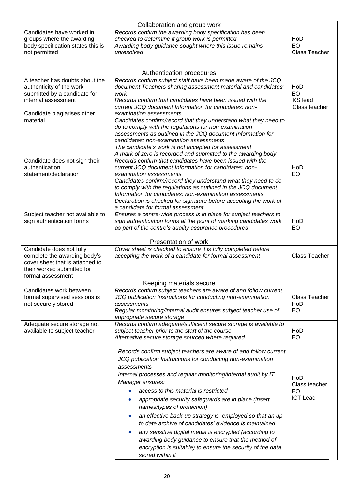| Collaboration and group work                                                                                                                                 |                                                                                                                                                                                                                                                                                                                                                                                                                                                                                                                                                                                                                                                                                            |                                               |  |
|--------------------------------------------------------------------------------------------------------------------------------------------------------------|--------------------------------------------------------------------------------------------------------------------------------------------------------------------------------------------------------------------------------------------------------------------------------------------------------------------------------------------------------------------------------------------------------------------------------------------------------------------------------------------------------------------------------------------------------------------------------------------------------------------------------------------------------------------------------------------|-----------------------------------------------|--|
| Candidates have worked in<br>groups where the awarding<br>body specification states this is<br>not permitted                                                 | Records confirm the awarding body specification has been<br>checked to determine if group work is permitted<br>Awarding body guidance sought where this issue remains<br>unresolved                                                                                                                                                                                                                                                                                                                                                                                                                                                                                                        | HoD<br>EO<br><b>Class Teacher</b>             |  |
|                                                                                                                                                              | Authentication procedures                                                                                                                                                                                                                                                                                                                                                                                                                                                                                                                                                                                                                                                                  |                                               |  |
| A teacher has doubts about the<br>authenticity of the work<br>submitted by a candidate for<br>internal assessment<br>Candidate plagiarises other<br>material | Records confirm subject staff have been made aware of the JCQ<br>document Teachers sharing assessment material and candidates'<br>work<br>Records confirm that candidates have been issued with the<br>current JCQ document Information for candidates: non-<br>examination assessments<br>Candidates confirm/record that they understand what they need to<br>do to comply with the regulations for non-examination<br>assessments as outlined in the JCQ document Information for<br>candidates: non-examination assessments<br>The candidate's work is not accepted for assessment<br>A mark of zero is recorded and submitted to the awarding body                                     | HoD<br>EO<br><b>KS</b> lead<br>Class teacher  |  |
| Candidate does not sign their<br>authentication<br>statement/declaration                                                                                     | Records confirm that candidates have been issued with the<br>current JCQ document Information for candidates: non-<br>examination assessments<br>Candidates confirm/record they understand what they need to do<br>to comply with the regulations as outlined in the JCQ document<br>Information for candidates: non-examination assessments<br>Declaration is checked for signature before accepting the work of<br>a candidate for formal assessment                                                                                                                                                                                                                                     | HoD<br><b>EO</b>                              |  |
| Subject teacher not available to<br>sign authentication forms                                                                                                | Ensures a centre-wide process is in place for subject teachers to<br>sign authentication forms at the point of marking candidates work<br>as part of the centre's quality assurance procedures                                                                                                                                                                                                                                                                                                                                                                                                                                                                                             | HoD<br>EO                                     |  |
|                                                                                                                                                              | Presentation of work                                                                                                                                                                                                                                                                                                                                                                                                                                                                                                                                                                                                                                                                       |                                               |  |
| Candidate does not fully<br>complete the awarding body's<br>cover sheet that is attached to<br>their worked submitted for<br>formal assessment               | Cover sheet is checked to ensure it is fully completed before<br>accepting the work of a candidate for formal assessment                                                                                                                                                                                                                                                                                                                                                                                                                                                                                                                                                                   | <b>Class Teacher</b>                          |  |
|                                                                                                                                                              | Keeping materials secure                                                                                                                                                                                                                                                                                                                                                                                                                                                                                                                                                                                                                                                                   |                                               |  |
| Candidates work between<br>formal supervised sessions is<br>not securely stored                                                                              | Records confirm subject teachers are aware of and follow current<br>JCQ publication Instructions for conducting non-examination<br>assessments<br>Regular monitoring/internal audit ensures subject teacher use of<br>appropriate secure storage                                                                                                                                                                                                                                                                                                                                                                                                                                           | <b>Class Teacher</b><br>HoD<br>EO.            |  |
| Adequate secure storage not<br>available to subject teacher                                                                                                  | Records confirm adequate/sufficient secure storage is available to<br>subject teacher prior to the start of the course<br>Alternative secure storage sourced where required                                                                                                                                                                                                                                                                                                                                                                                                                                                                                                                | HoD<br>EO                                     |  |
|                                                                                                                                                              | Records confirm subject teachers are aware of and follow current<br>JCQ publication Instructions for conducting non-examination<br>assessments<br>Internal processes and regular monitoring/internal audit by IT<br>Manager ensures:<br>access to this material is restricted<br>appropriate security safeguards are in place (insert<br>names/types of protection)<br>an effective back-up strategy is employed so that an up<br>to date archive of candidates' evidence is maintained<br>any sensitive digital media is encrypted (according to<br>awarding body guidance to ensure that the method of<br>encryption is suitable) to ensure the security of the data<br>stored within it | HoD<br>Class teacher<br>EО<br><b>ICT Lead</b> |  |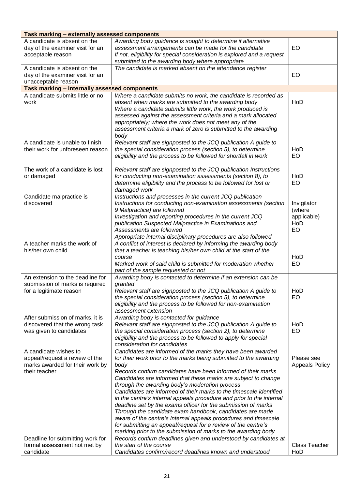| Task marking - externally assessed components                                                               |                                                                                                                                                                                                                                                                                                                                                                                                                                                                                                                                                                                                                                                                                                                                                                                                              |                                                   |  |
|-------------------------------------------------------------------------------------------------------------|--------------------------------------------------------------------------------------------------------------------------------------------------------------------------------------------------------------------------------------------------------------------------------------------------------------------------------------------------------------------------------------------------------------------------------------------------------------------------------------------------------------------------------------------------------------------------------------------------------------------------------------------------------------------------------------------------------------------------------------------------------------------------------------------------------------|---------------------------------------------------|--|
| A candidate is absent on the<br>day of the examiner visit for an<br>acceptable reason                       | Awarding body guidance is sought to determine if alternative<br>assessment arrangements can be made for the candidate<br>If not, eligibility for special consideration is explored and a request<br>submitted to the awarding body where appropriate                                                                                                                                                                                                                                                                                                                                                                                                                                                                                                                                                         | EO                                                |  |
| A candidate is absent on the<br>day of the examiner visit for an<br>unacceptable reason                     | The candidate is marked absent on the attendance register                                                                                                                                                                                                                                                                                                                                                                                                                                                                                                                                                                                                                                                                                                                                                    | EO                                                |  |
| Task marking - internally assessed components                                                               |                                                                                                                                                                                                                                                                                                                                                                                                                                                                                                                                                                                                                                                                                                                                                                                                              |                                                   |  |
| A candidate submits little or no<br>work                                                                    | Where a candidate submits no work, the candidate is recorded as<br>absent when marks are submitted to the awarding body<br>Where a candidate submits little work, the work produced is<br>assessed against the assessment criteria and a mark allocated<br>appropriately; where the work does not meet any of the<br>assessment criteria a mark of zero is submitted to the awarding<br>body                                                                                                                                                                                                                                                                                                                                                                                                                 | HoD                                               |  |
| A candidate is unable to finish<br>their work for unforeseen reason                                         | Relevant staff are signposted to the JCQ publication A guide to<br>the special consideration process (section 5), to determine<br>eligibility and the process to be followed for shortfall in work                                                                                                                                                                                                                                                                                                                                                                                                                                                                                                                                                                                                           | HoD<br>EO                                         |  |
| The work of a candidate is lost<br>or damaged                                                               | Relevant staff are signposted to the JCQ publication Instructions<br>for conducting non-examination assessments (section 8), to<br>determine eligibility and the process to be followed for lost or<br>damaged work                                                                                                                                                                                                                                                                                                                                                                                                                                                                                                                                                                                          | HoD<br>EO                                         |  |
| Candidate malpractice is<br>discovered                                                                      | Instructions and processes in the current JCQ publication<br>Instructions for conducting non-examination assessments (section<br>9 Malpractice) are followed<br>Investigation and reporting procedures in the current JCQ<br>publication Suspected Malpractice in Examinations and<br>Assessments are followed<br>Appropriate internal disciplinary procedures are also followed                                                                                                                                                                                                                                                                                                                                                                                                                             | Invigilator<br>(where<br>applicable)<br>HoD<br>EO |  |
| A teacher marks the work of<br>his/her own child                                                            | A conflict of interest is declared by informing the awarding body<br>that a teacher is teaching his/her own child at the start of the<br>course<br>Marked work of said child is submitted for moderation whether<br>part of the sample requested or not                                                                                                                                                                                                                                                                                                                                                                                                                                                                                                                                                      | HoD<br>EO                                         |  |
| An extension to the deadline for<br>submission of marks is required<br>for a legitimate reason              | Awarding body is contacted to determine if an extension can be<br>granted<br>Relevant staff are signposted to the JCQ publication A guide to<br>the special consideration process (section 5), to determine<br>eligibility and the process to be followed for non-examination<br>assessment extension                                                                                                                                                                                                                                                                                                                                                                                                                                                                                                        | HoD<br>EO                                         |  |
| After submission of marks, it is<br>discovered that the wrong task<br>was given to candidates               | Awarding body is contacted for guidance<br>Relevant staff are signposted to the JCQ publication A guide to<br>the special consideration process (section 2), to determine<br>eligibility and the process to be followed to apply for special<br>consideration for candidates                                                                                                                                                                                                                                                                                                                                                                                                                                                                                                                                 | HoD<br><b>EO</b>                                  |  |
| A candidate wishes to<br>appeal/request a review of the<br>marks awarded for their work by<br>their teacher | Candidates are informed of the marks they have been awarded<br>for their work prior to the marks being submitted to the awarding<br>body<br>Records confirm candidates have been informed of their marks<br>Candidates are informed that these marks are subject to change<br>through the awarding body's moderation process<br>Candidates are informed of their marks to the timescale identified<br>in the centre's internal appeals procedure and prior to the internal<br>deadline set by the exams officer for the submission of marks<br>Through the candidate exam handbook, candidates are made<br>aware of the centre's internal appeals procedures and timescale<br>for submitting an appeal/request for a review of the centre's<br>marking prior to the submission of marks to the awarding body | Please see<br><b>Appeals Policy</b>               |  |
| Deadline for submitting work for<br>formal assessment not met by<br>candidate                               | Records confirm deadlines given and understood by candidates at<br>the start of the course<br>Candidates confirm/record deadlines known and understood                                                                                                                                                                                                                                                                                                                                                                                                                                                                                                                                                                                                                                                       | Class Teacher<br>HoD                              |  |